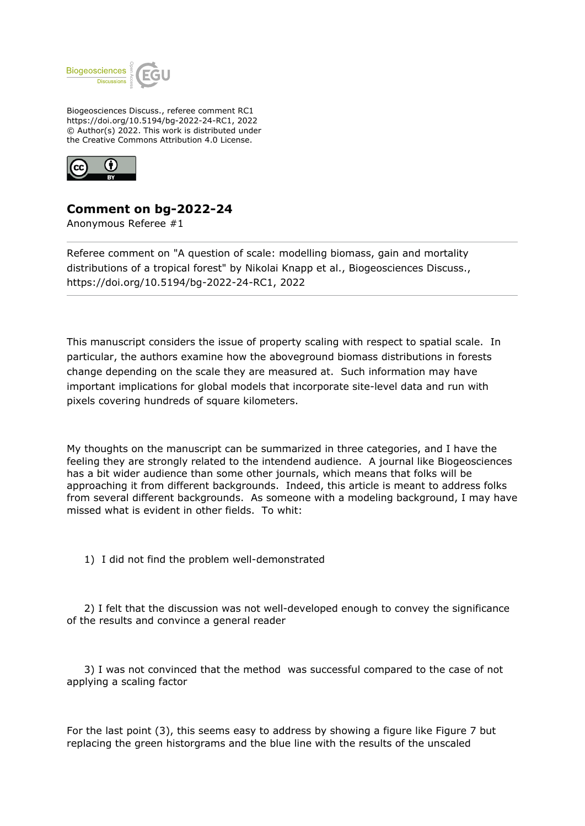

Biogeosciences Discuss., referee comment RC1 https://doi.org/10.5194/bg-2022-24-RC1, 2022 © Author(s) 2022. This work is distributed under the Creative Commons Attribution 4.0 License.



## **Comment on bg-2022-24**

Anonymous Referee #1

Referee comment on "A question of scale: modelling biomass, gain and mortality distributions of a tropical forest" by Nikolai Knapp et al., Biogeosciences Discuss., https://doi.org/10.5194/bg-2022-24-RC1, 2022

This manuscript considers the issue of property scaling with respect to spatial scale. In particular, the authors examine how the aboveground biomass distributions in forests change depending on the scale they are measured at. Such information may have important implications for global models that incorporate site-level data and run with pixels covering hundreds of square kilometers.

My thoughts on the manuscript can be summarized in three categories, and I have the feeling they are strongly related to the intendend audience. A journal like Biogeosciences has a bit wider audience than some other journals, which means that folks will be approaching it from different backgrounds. Indeed, this article is meant to address folks from several different backgrounds. As someone with a modeling background, I may have missed what is evident in other fields. To whit:

1) I did not find the problem well-demonstrated

 2) I felt that the discussion was not well-developed enough to convey the significance of the results and convince a general reader

 3) I was not convinced that the method was successful compared to the case of not applying a scaling factor

For the last point (3), this seems easy to address by showing a figure like Figure 7 but replacing the green historgrams and the blue line with the results of the unscaled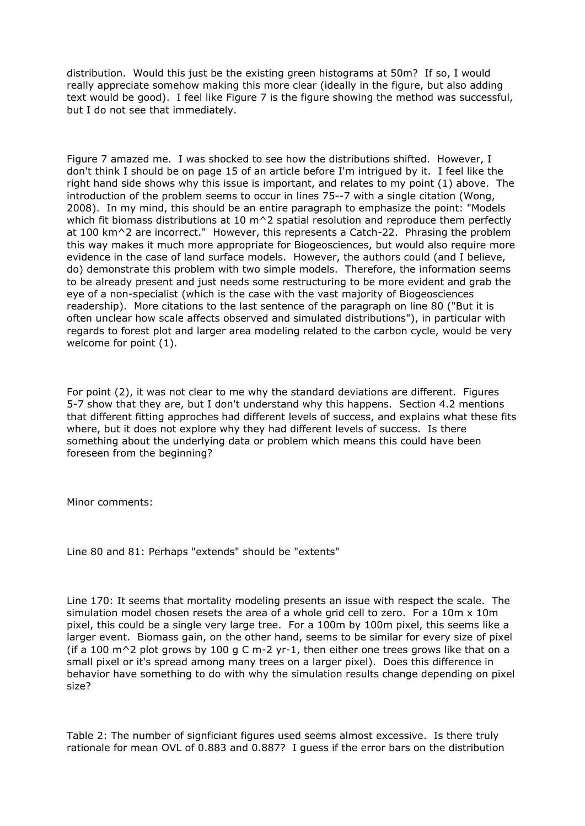distribution. Would this just be the existing green histograms at 50m? If so, I would really appreciate somehow making this more clear (ideally in the figure, but also adding text would be good). I feel like Figure 7 is the figure showing the method was successful, but I do not see that immediately.

Figure 7 amazed me. I was shocked to see how the distributions shifted. However, I don't think I should be on page 15 of an article before I'm intrigued by it. I feel like the right hand side shows why this issue is important, and relates to my point (1) above. The introduction of the problem seems to occur in lines 75--7 with a single citation (Wong, 2008). In my mind, this should be an entire paragraph to emphasize the point: "Models which fit biomass distributions at 10 m^2 spatial resolution and reproduce them perfectly at 100 km^2 are incorrect." However, this represents a Catch-22. Phrasing the problem this way makes it much more appropriate for Biogeosciences, but would also require more evidence in the case of land surface models. However, the authors could (and I believe, do) demonstrate this problem with two simple models. Therefore, the information seems to be already present and just needs some restructuring to be more evident and grab the eye of a non-specialist (which is the case with the vast majority of Biogeosciences readership). More citations to the last sentence of the paragraph on line 80 ("But it is often unclear how scale affects observed and simulated distributions"), in particular with regards to forest plot and larger area modeling related to the carbon cycle, would be very welcome for point (1).

For point (2), it was not clear to me why the standard deviations are different. Figures 5-7 show that they are, but I don't understand why this happens. Section 4.2 mentions that different fitting approches had different levels of success, and explains what these fits where, but it does not explore why they had different levels of success. Is there something about the underlying data or problem which means this could have been foreseen from the beginning?

Minor comments:

Line 80 and 81: Perhaps "extends" should be "extents"

Line 170: It seems that mortality modeling presents an issue with respect the scale. The simulation model chosen resets the area of a whole grid cell to zero. For a  $10m \times 10m$ pixel, this could be a single very large tree. For a 100m by 100m pixel, this seems like a larger event. Biomass gain, on the other hand, seems to be similar for every size of pixel (if a 100  $\text{m}^2$  plot grows by 100 g C m-2 yr-1, then either one trees grows like that on a small pixel or it's spread among many trees on a larger pixel). Does this difference in behavior have something to do with why the simulation results change depending on pixel size?

Table 2: The number of signficiant figures used seems almost excessive. Is there truly rationale for mean OVL of 0.883 and 0.887? I guess if the error bars on the distribution